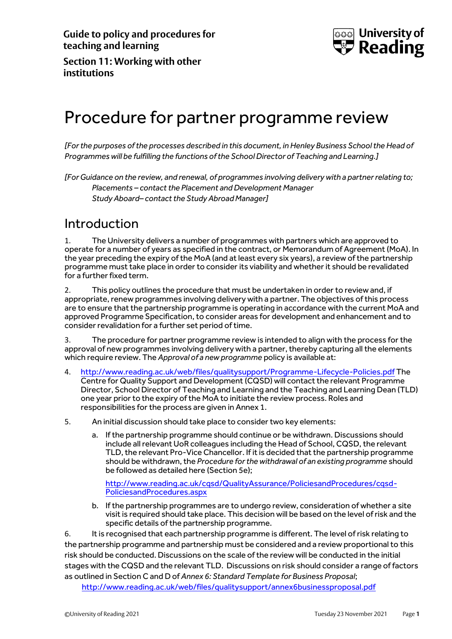

**Section 11: Working with other institutions**

## Procedure for partner programme review

*[For the purposes of the processes described in this document, in Henley Business School the Head of Programmes will be fulfilling the functions of the School Director of Teaching and Learning.]*

*[For Guidance on the review, and renewal, of programmes involving delivery with a partnerrelating to; Placements – contact the Placement and Development Manager Study Aboard– contact the Study Abroad Manager]*

### Introduction

1. The University delivers a number of programmes with partners which are approved to operate for a number of years as specified in the contract, or Memorandum of Agreement (MoA). In the year preceding the expiry of the MoA (and at least every six years), a review of the partnership programme must take place in order to consider its viability and whether it should be revalidated for a further fixed term.

2. This policy outlines the procedure that must be undertaken in order to review and, if appropriate, renew programmes involving delivery with a partner. The objectives of this process are to ensure that the partnership programme is operating in accordance with the current MoA and approved Programme Specification, to consider areas for development and enhancement and to consider revalidation for a further set period of time.

3. The procedure for partner programme review is intended to align with the process for the approval of new programmes involving delivery with a partner, thereby capturing all the elements which require review. The *Approval of a new programme* policy is available at:

- 4. <http://www.reading.ac.uk/web/files/qualitysupport/Programme-Lifecycle-Policies.pdf> The Centre for Quality Support and Development (CQSD) will contact the relevant Programme Director, School Director of Teaching and Learning and the Teaching and Learning Dean (TLD) one year prior to the expiry of the MoA to initiate the review process. Roles and responsibilities for the process are given in Annex 1.
- 5. An initial discussion should take place to consider two key elements:
	- a. If the partnership programme should continue or be withdrawn. Discussions should include all relevant UoR colleagues including the Head of School, CQSD, the relevant TLD, the relevant Pro-Vice Chancellor. If it is decided that the partnership programme should be withdrawn, the *Procedure for the withdrawal of an existing programme* should be followed as detailed here (Section 5e);

[http://www.reading.ac.uk/cqsd/QualityAssurance/PoliciesandProcedures/cqsd-](http://www.reading.ac.uk/cqsd/QualityAssurance/PoliciesandProcedures/cqsd-PoliciesandProcedures.aspx)[PoliciesandProcedures.aspx](http://www.reading.ac.uk/cqsd/QualityAssurance/PoliciesandProcedures/cqsd-PoliciesandProcedures.aspx)

b. If the partnership programmes are to undergo review, consideration of whether a site visit is required should take place. This decision will be based on the level of risk and the specific details of the partnership programme.

6. It is recognised that each partnership programme is different. The level of risk relating to the partnership programme and partnership must be considered and a review proportional to this risk should be conducted. Discussions on the scale of the review will be conducted in the initial stages with the CQSD and the relevant TLD. Discussions on risk should consider a range of factors as outlined in Section C and D of *Annex 6: Standard Template for Business Proposal*;

<http://www.reading.ac.uk/web/files/qualitysupport/annex6businessproposal.pdf>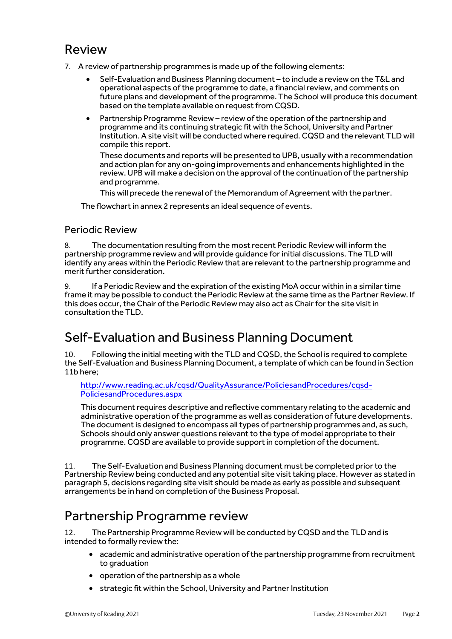### Review

- 7. A review of partnership programmes is made up of the following elements:
	- Self-Evaluation and Business Planning document to include a review on the T&L and operational aspects of the programme to date, a financial review, and comments on future plans and development of the programme. The School will produce this document based on the template available on request from CQSD.
	- Partnership Programme Review review of the operation of the partnership and programme and its continuing strategic fit with the School, University and Partner Institution. A site visit will be conducted where required. CQSD and the relevant TLD will compile this report.

These documents and reports will be presented to UPB, usually with a recommendation and action plan for any on-going improvements and enhancements highlighted in the review. UPB will make a decision on the approval of the continuation of the partnership and programme.

This will precede the renewal of the Memorandum of Agreement with the partner.

The flowchart in annex 2 represents an ideal sequence of events.

### Periodic Review

8. The documentation resulting from the most recent Periodic Review will inform the partnership programme review and will provide guidance for initial discussions. The TLD will identify any areas within the Periodic Review that are relevant to the partnership programme and merit further consideration.

9. If a Periodic Review and the expiration of the existing MoA occur within in a similar time frame it may be possible to conduct the Periodic Review at the same time as the Partner Review. If this does occur, the Chair of the Periodic Review may also act as Chair for the site visit in consultation the TLD.

### Self-Evaluation and Business Planning Document

10. Following the initial meeting with the TLD and CQSD, the School is required to complete the Self-Evaluation and Business Planning Document, a template of which can be found in Section 11b here;

[http://www.reading.ac.uk/cqsd/QualityAssurance/PoliciesandProcedures/cqsd-](http://www.reading.ac.uk/cqsd/QualityAssurance/PoliciesandProcedures/cqsd-PoliciesandProcedures.aspx)[PoliciesandProcedures.aspx](http://www.reading.ac.uk/cqsd/QualityAssurance/PoliciesandProcedures/cqsd-PoliciesandProcedures.aspx)

This document requires descriptive and reflective commentary relating to the academic and administrative operation of the programme as well as consideration of future developments. The document is designed to encompass all types of partnership programmes and, as such, Schools should only answer questions relevant to the type of model appropriate to their programme. CQSD are available to provide support in completion of the document.

11. The Self-Evaluation and Business Planning document must be completed prior to the Partnership Review being conducted and any potential site visit taking place. However as stated in paragraph 5, decisions regarding site visit should be made as early as possible and subsequent arrangements be in hand on completion of the Business Proposal.

### Partnership Programme review

12. The Partnership Programme Review will be conducted by CQSD and the TLD and is intended to formally review the:

- academic and administrative operation of the partnership programme from recruitment to graduation
- operation of the partnership as a whole
- strategic fit within the School, University and Partner Institution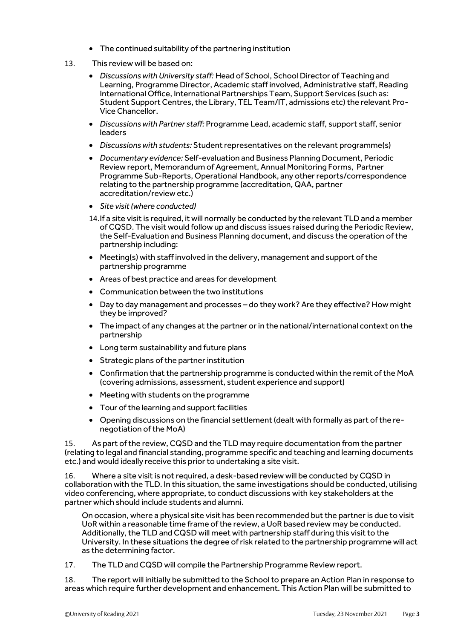- The continued suitability of the partnering institution
- 13. This review will be based on:
	- *Discussions with University staff:* Head of School, School Director of Teaching and Learning, Programme Director, Academic staff involved, Administrative staff, Reading International Office, International Partnerships Team, Support Services (such as: Student Support Centres, the Library, TEL Team/IT, admissions etc) the relevant Pro-Vice Chancellor.
	- *Discussionswith Partner staff:* Programme Lead, academic staff, support staff, senior leaders
	- *Discussions with students:* Student representatives on the relevant programme(s)
	- *Documentary evidence:* Self-evaluation and Business Planning Document, Periodic Review report, Memorandum of Agreement, Annual Monitoring Forms, Partner Programme Sub-Reports, Operational Handbook, any other reports/correspondence relating to the partnership programme (accreditation, QAA, partner accreditation/review etc.)
	- *Site visit(where conducted)*
	- 14.If a site visit is required, it will normally be conducted by the relevant TLD and a member of CQSD. The visit would follow up and discuss issues raised during the Periodic Review, the Self-Evaluation and Business Planning document, and discuss the operation of the partnership including:
	- Meeting(s) with staff involved in the delivery, management and support of the partnership programme
	- Areas of best practice and areas for development
	- Communication between the two institutions
	- Day to day management and processes do they work? Are they effective? How might they be improved?
	- The impact of any changes at the partner or in the national/international context on the partnership
	- Long term sustainability and future plans
	- Strategic plans of the partner institution
	- Confirmation that the partnership programme is conducted within the remit of the MoA (covering admissions, assessment, student experience and support)
	- Meeting with students on the programme
	- Tour of the learning and support facilities
	- Opening discussions on the financial settlement (dealt with formally as part of the renegotiation of the MoA)

15. As part of the review, CQSD and the TLD may require documentation from the partner (relating to legal and financial standing, programme specific and teaching and learning documents etc.) and would ideally receive this prior to undertaking a site visit.

16. Where a site visit is notrequired, a desk-based review will be conducted by CQSD in collaboration with the TLD. In this situation, the same investigations should be conducted, utilising video conferencing, where appropriate, to conduct discussions with key stakeholders at the partner which should include students and alumni.

On occasion, where a physical site visit has been recommended but the partner is due to visit UoR within a reasonable time frame of the review, a UoR based review may be conducted. Additionally, the TLD and CQSD will meet with partnership staff during this visit to the University. In these situations the degree of risk related to the partnership programme will act as the determining factor.

17. The TLD and CQSD will compile the Partnership Programme Review report.

18. The report will initially be submitted to the School to prepare an Action Plan in response to areas which require further development and enhancement. This Action Plan will be submitted to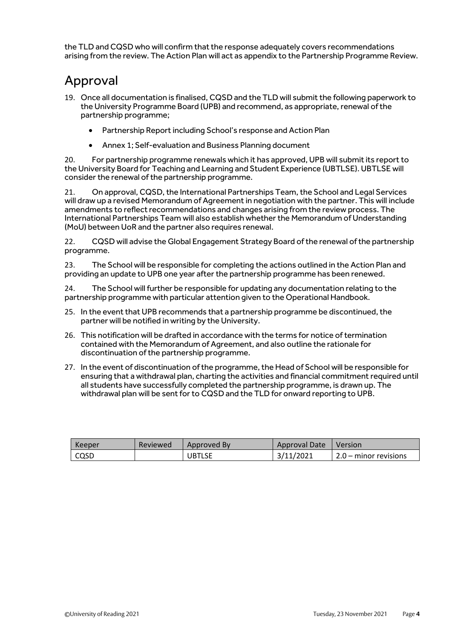the TLD and CQSD who will confirm that the response adequately covers recommendations arising from the review. The Action Plan will act as appendix to the Partnership Programme Review.

## Approval

- 19. Once all documentation is finalised, CQSD and the TLD will submit the following paperwork to the University Programme Board (UPB) and recommend, as appropriate, renewal of the partnership programme;
	- Partnership Report including School's response and Action Plan
	- Annex 1; Self-evaluation and Business Planning document

20. For partnership programme renewals which it has approved, UPB will submit its reportto the University Board for Teaching and Learning and Student Experience (UBTLSE). UBTLSE will consider the renewal of the partnership programme.

21. On approval, CQSD, the International Partnerships Team, the School and Legal Services will draw up a revised Memorandum of Agreement in negotiation with the partner. This will include amendments to reflect recommendations and changes arising from the review process. The International Partnerships Team will also establish whether the Memorandum of Understanding (MoU) between UoR and the partner also requires renewal.

22. CQSD will advise the Global Engagement Strategy Board ofthe renewal of the partnership programme.

23. The School will be responsible for completing the actions outlined in the Action Plan and providing an update to UPB one year after the partnership programme has been renewed.

24. The School will further be responsible for updating any documentation relating to the partnership programme with particular attention given to the Operational Handbook.

- 25. In the event that UPB recommends that a partnership programme be discontinued, the partner will be notified in writing by the University.
- 26. This notification will be drafted in accordance with the terms for notice of termination contained with the Memorandum of Agreement, and also outline the rationale for discontinuation of the partnership programme.
- 27. In the event of discontinuation of the programme, the Head of School will be responsible for ensuring that a withdrawal plan, charting the activities and financial commitment required until all students have successfully completed the partnership programme, is drawn up. The withdrawal plan will be sent for to CQSD and the TLD for onward reporting to UPB.

| Keeper | Reviewed | Approved By   | Approval Date | Version                 |
|--------|----------|---------------|---------------|-------------------------|
| CQSD   |          | <b>JBTLSE</b> | 11/2021       | $2.0 -$ minor revisions |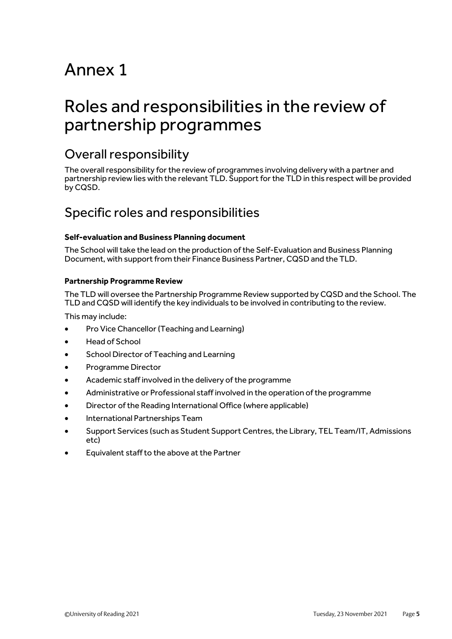# Annex 1

## Roles and responsibilities in the review of partnership programmes

### Overall responsibility

The overall responsibility for the review of programmes involving delivery with a partner and partnership review lies with the relevant TLD. Support for the TLD in this respect will be provided by CQSD.

### Specific roles and responsibilities

#### **Self-evaluation and Business Planning document**

The School will take the lead on the production of the Self-Evaluation and Business Planning Document, with support from their Finance Business Partner, CQSD and the TLD.

#### **Partnership Programme Review**

The TLD will oversee the Partnership Programme Review supported by CQSD and the School. The TLD and CQSD will identify the key individuals to be involved in contributing to the review.

This may include:

- Pro Vice Chancellor (Teaching and Learning)
- Head of School
- School Director of Teaching and Learning
- Programme Director
- Academic staff involved in the delivery of the programme
- Administrative or Professional staff involved in the operation of the programme
- Director of the Reading International Office (where applicable)
- International Partnerships Team
- Support Services (such as Student Support Centres, the Library, TEL Team/IT, Admissions etc)
- Equivalent staff to the above at the Partner